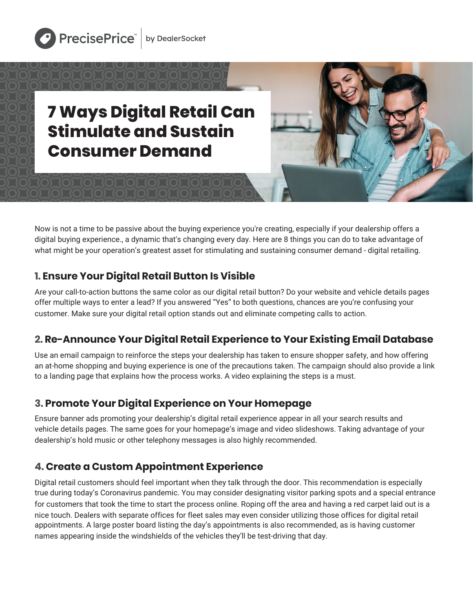



Now is not a time to be passive about the buying experience you're creating, especially if your dealership offers a digital buying experience., a dynamic that's changing every day. Here are 8 things you can do to take advantage of what might be your operation's greatest asset for stimulating and sustaining consumer demand - digital retailing.

#### **1. Ensure Your Digital Retail Button Is Visible**

Are your call-to-action buttons the same color as our digital retail button? Do your website and vehicle details pages offer multiple ways to enter a lead? If you answered "Yes" to both questions, chances are you're confusing your customer. Make sure your digital retail option stands out and eliminate competing calls to action.

### **2. Re-Announce Your Digital Retail Experience to Your Existing Email Database**

Use an email campaign to reinforce the steps your dealership has taken to ensure shopper safety, and how offering an at-home shopping and buying experience is one of the precautions taken. The campaign should also provide a link to a landing page that explains how the process works. A video explaining the steps is a must.

#### **3. Promote Your Digital Experience on Your Homepage**

Ensure banner ads promoting your dealership's digital retail experience appear in all your search results and vehicle details pages. The same goes for your homepage's image and video slideshows. Taking advantage of your dealership's hold music or other telephony messages is also highly recommended.

### **4. Create a Custom Appointment Experience**

Digital retail customers should feel important when they talk through the door. This recommendation is especially true during today's Coronavirus pandemic. You may consider designating visitor parking spots and a special entrance for customers that took the time to start the process online. Roping off the area and having a red carpet laid out is a nice touch. Dealers with separate offices for fleet sales may even consider utilizing those offices for digital retail appointments. A large poster board listing the day's appointments is also recommended, as is having customer names appearing inside the windshields of the vehicles they'll be test-driving that day.